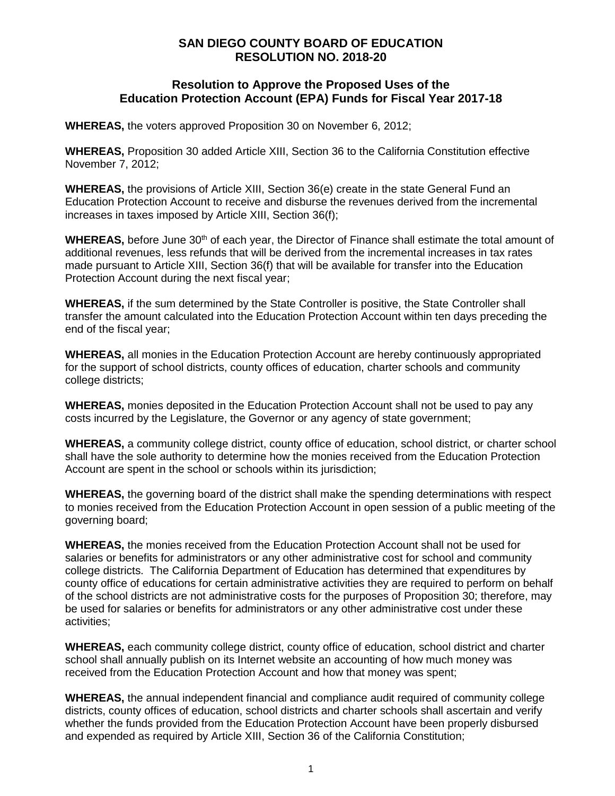## **SAN DIEGO COUNTY BOARD OF EDUCATION RESOLUTION NO. 2018-20**

## **Resolution to Approve the Proposed Uses of the Education Protection Account (EPA) Funds for Fiscal Year 2017-18**

**WHEREAS,** the voters approved Proposition 30 on November 6, 2012;

**WHEREAS,** Proposition 30 added Article XIII, Section 36 to the California Constitution effective November 7, 2012;

**WHEREAS,** the provisions of Article XIII, Section 36(e) create in the state General Fund an Education Protection Account to receive and disburse the revenues derived from the incremental increases in taxes imposed by Article XIII, Section 36(f);

WHEREAS, before June 30<sup>th</sup> of each year, the Director of Finance shall estimate the total amount of additional revenues, less refunds that will be derived from the incremental increases in tax rates made pursuant to Article XIII, Section 36(f) that will be available for transfer into the Education Protection Account during the next fiscal year;

**WHEREAS,** if the sum determined by the State Controller is positive, the State Controller shall transfer the amount calculated into the Education Protection Account within ten days preceding the end of the fiscal year;

**WHEREAS,** all monies in the Education Protection Account are hereby continuously appropriated for the support of school districts, county offices of education, charter schools and community college districts;

**WHEREAS,** monies deposited in the Education Protection Account shall not be used to pay any costs incurred by the Legislature, the Governor or any agency of state government;

**WHEREAS,** a community college district, county office of education, school district, or charter school shall have the sole authority to determine how the monies received from the Education Protection Account are spent in the school or schools within its jurisdiction;

**WHEREAS,** the governing board of the district shall make the spending determinations with respect to monies received from the Education Protection Account in open session of a public meeting of the governing board;

**WHEREAS,** the monies received from the Education Protection Account shall not be used for salaries or benefits for administrators or any other administrative cost for school and community college districts. The California Department of Education has determined that expenditures by county office of educations for certain administrative activities they are required to perform on behalf of the school districts are not administrative costs for the purposes of Proposition 30; therefore, may be used for salaries or benefits for administrators or any other administrative cost under these activities;

**WHEREAS,** each community college district, county office of education, school district and charter school shall annually publish on its Internet website an accounting of how much money was received from the Education Protection Account and how that money was spent;

**WHEREAS,** the annual independent financial and compliance audit required of community college districts, county offices of education, school districts and charter schools shall ascertain and verify whether the funds provided from the Education Protection Account have been properly disbursed and expended as required by Article XIII, Section 36 of the California Constitution;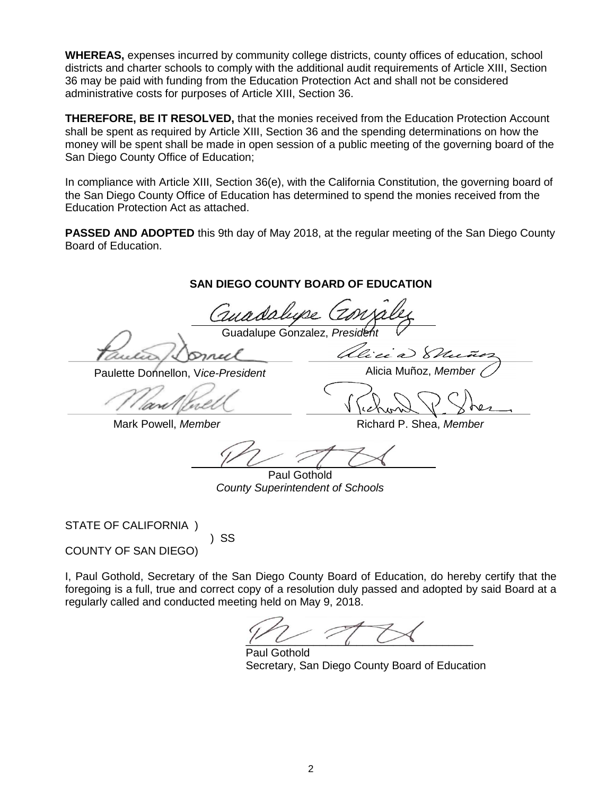**WHEREAS,** expenses incurred by community college districts, county offices of education, school districts and charter schools to comply with the additional audit requirements of Article XIII, Section 36 may be paid with funding from the Education Protection Act and shall not be considered administrative costs for purposes of Article XIII, Section 36.

**THEREFORE, BE IT RESOLVED,** that the monies received from the Education Protection Account shall be spent as required by Article XIII, Section 36 and the spending determinations on how the money will be spent shall be made in open session of a public meeting of the governing board of the San Diego County Office of Education;

In compliance with Article XIII, Section 36(e), with the California Constitution, the governing board of the San Diego County Office of Education has determined to spend the monies received from the Education Protection Act as attached.

**PASSED AND ADOPTED** this 9th day of May 2018, at the regular meeting of the San Diego County Board of Education.

## **SAN DIEGO COUNTY BOARD OF EDUCATION**

Guadalupe Gonzalez, *President*

Paulette Donnellon, V*ice-President* Alicia Muñoz, *Member*

Ulicia) 8

Mark Powell, *Member* **Richard P. Shea,** *Member* Richard P. Shea, *Member* 

Paul Gothold *County Superintendent of Schools*

STATE OF CALIFORNIA )

 ) SS COUNTY OF SAN DIEGO)

I, Paul Gothold, Secretary of the San Diego County Board of Education, do hereby certify that the foregoing is a full, true and correct copy of a resolution duly passed and adopted by said Board at a regularly called and conducted meeting held on May 9, 2018.

 $\overline{r}$ 

Paul Gothold Secretary, San Diego County Board of Education